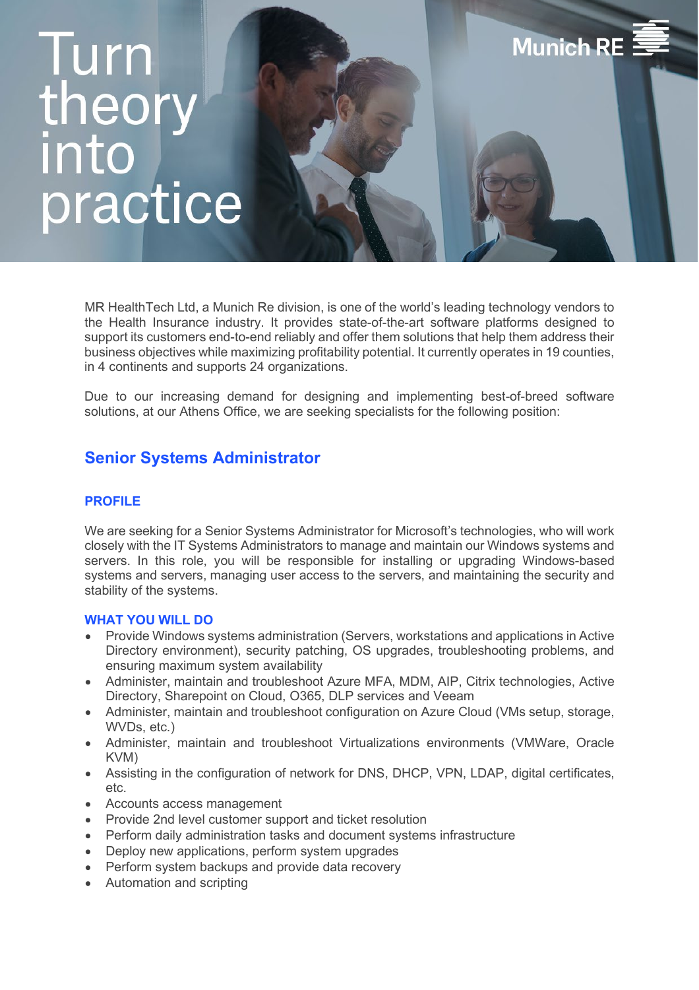# **Iurn** theor into practice

MR HealthTech Ltd, a Munich Re division, is one of the world's leading technology vendors to the Health Insurance industry. It provides state-of-the-art software platforms designed to support its customers end-to-end reliably and offer them solutions that help them address their business objectives while maximizing profitability potential. It currently operates in 19 counties, in 4 continents and supports 24 organizations.

**Munich RE** 

Due to our increasing demand for designing and implementing best-of-breed software solutions, at our Athens Office, we are seeking specialists for the following position:

## **Senior Systems Administrator**

### **PROFILE**

We are seeking for a Senior Systems Administrator for Microsoft's technologies, who will work closely with the IT Systems Administrators to manage and maintain our Windows systems and servers. In this role, you will be responsible for installing or upgrading Windows-based systems and servers, managing user access to the servers, and maintaining the security and stability of the systems.

#### **WHAT YOU WILL DO**

- Provide Windows systems administration (Servers, workstations and applications in Active Directory environment), security patching, OS upgrades, troubleshooting problems, and ensuring maximum system availability
- Administer, maintain and troubleshoot Azure MFA, MDM, AIP, Citrix technologies, Active Directory, Sharepoint on Cloud, O365, DLP services and Veeam
- Administer, maintain and troubleshoot configuration on Azure Cloud (VMs setup, storage, WVDs, etc.)
- Administer, maintain and troubleshoot Virtualizations environments (VMWare, Oracle KVM)
- Assisting in the configuration of network for DNS, DHCP, VPN, LDAP, digital certificates, etc.
- Accounts access management
- Provide 2nd level customer support and ticket resolution
- Perform daily administration tasks and document systems infrastructure
- Deploy new applications, perform system upgrades
- Perform system backups and provide data recovery
- Automation and scripting